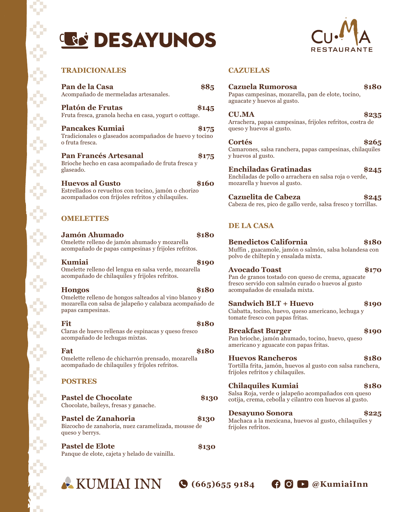# **LE DESAYUNOS**



#### **TRADICIONALES CAZUELAS**

¢

¢

**Pan de la Casa \$85** Acompañado de mermeladas artesanales.

**Platón de Frutas \$145** Fruta fresca, granola hecha en casa, yogurt o cottage.

**Pancakes Kumiai \$175** Tradicionales o glaseados acompañados de huevo y tocino o fruta fresca.

**Pan Francés Artesanal \$175** Brioche hecho en casa acompañado de fruta fresca y glaseado.

**Huevos al Gusto \$160** Estrellados o revueltos con tocino, jamón o chorizo acompañados con frijoles refritos y chilaquiles.

#### **OMELETTES**

**Jamón Ahumado \$180** Omelette relleno de jamón ahumado y mozarella acompañado de papas campesinas y frijoles refritos.

**Kumiai \$190** Omelette relleno del lengua en salsa verde, mozarella acompañado de chilaquiles y frijoles refritos.

**Hongos \$180** Omelette relleno de hongos salteados al vino blanco y mozarella con salsa de jalapeño y calabaza acompañado de papas campesinas.

**Fit** \$180 Claras de huevo rellenas de espinacas y queso fresco acompañado de lechugas mixtas.

**Fat** \$180 Omelette relleno de chicharrón prensado, mozarella acompañado de chilaquiles y frijoles refritos.

#### **POSTRES**

W

Y

¢

**Pastel de Chocolate \$130** Chocolate, baileys, fresas y ganache.

**Pastel de Zanahoria \$130** Bizcocho de zanahoria, nuez caramelizada, mousse de queso y berrys.

**Pastel de Elote \$130** Panque de elote, cajeta y helado de vainilla.

| <b>Cazuela Rumorosa</b><br>Papas campesinas, mozarella, pan de elote, tocino,<br>aguacate y huevos al gusto. |       |
|--------------------------------------------------------------------------------------------------------------|-------|
| <b>CU.MA</b><br>Arrachera, papas campesinas, frijoles refritos, costra de<br>queso y huevos al gusto.        | \$235 |
| Cortés<br>Camarones, salsa ranchera, papas campesinas, chilaquiles<br>y huevos al gusto.                     | \$265 |
| <b>Enchiladas Gratinadas</b>                                                                                 |       |

Enchiladas de pollo o arrachera en salsa roja o verde, mozarella y huevos al gusto.

**Cazuelita de Cabeza \$245** Cabeza de res, pico de gallo verde, salsa fresco y torrillas.

#### **DE LA CASA**

**Benedictos California \$180** Muffin , guacamole, jamón o salmón, salsa holandesa con polvo de chiltepín y ensalada mixta.

#### **Avocado Toast \$170**

Pan de granos tostado con queso de crema, aguacate fresco servido con salmón curado o huevos al gusto acompañados de ensalada mixta.

#### **Sandwich BLT + Huevo \$190**

Ciabatta, tocino, huevo, queso americano, lechuga y tomate fresco con papas fritas.

#### **Breakfast Burger \$190**

Pan brioche, jamón ahumado, tocino, huevo, queso americano y aguacate con papas fritas.

#### **Huevos Rancheros \$180**

Tortilla frita, jamón, huevos al gusto con salsa ranchera, frijoles refritos y chilaquiles.

#### **Chilaquiles Kumiai \$180**

Salsa Roja, verde o jalapeño acompañados con queso cotija, crema, cebolla y cilantro con huevos al gusto.

#### **Desayuno Sonora \$225**

Machaca a la mexicana, huevos al gusto, chilaquiles y frijoles refritos.